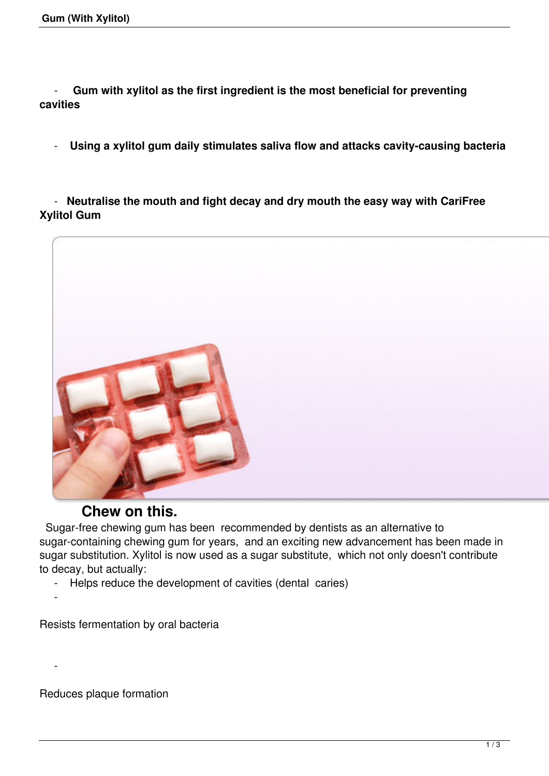- **Gum with xylitol as the first ingredient is the most beneficial for preventing cavities** 

- **Using a xylitol gum daily stimulates saliva flow and attacks cavity-causing bacteria** 

 - **Neutralise the mouth and fight decay and dry mouth the easy way with CariFree Xylitol Gum**



## **Chew on this.**

 Sugar-free chewing gum has been recommended by dentists as an alternative to sugar-containing chewing gum for years, and an exciting new advancement has been made in sugar substitution. Xylitol is now used as a sugar substitute, which not only doesn't contribute to decay, but actually:

- Helps reduce the development of cavities (dental caries)

Resists fermentation by oral bacteria

Reduces plaque formation

-

 $\sim$